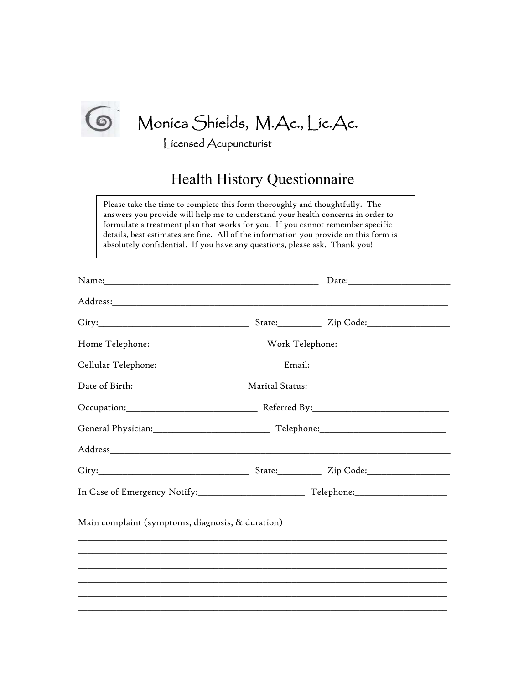

**S** Monica Shields, M.Ac., Lic.Ac.

Licensed Acupuncturist

## Health History Questionnaire

Please take the time to complete this form thoroughly and thoughtfully. The answers you provide will help me to understand your health concerns in order to formulate a treatment plan that works for you. If you cannot remember specific details, best estimates are fine. All of the information you provide on this form is absolutely confidential. If you have any questions, please ask. Thank you!

| Name: Name and the second contract of the second contract of the second contract of the second contract of the second contract of the second contract of the second contract of the second contract of the second contract of | Date: |
|-------------------------------------------------------------------------------------------------------------------------------------------------------------------------------------------------------------------------------|-------|
|                                                                                                                                                                                                                               |       |
|                                                                                                                                                                                                                               |       |
|                                                                                                                                                                                                                               |       |
|                                                                                                                                                                                                                               |       |
|                                                                                                                                                                                                                               |       |
|                                                                                                                                                                                                                               |       |
|                                                                                                                                                                                                                               |       |
|                                                                                                                                                                                                                               |       |
|                                                                                                                                                                                                                               |       |
|                                                                                                                                                                                                                               |       |
| Main complaint (symptoms, diagnosis, & duration)                                                                                                                                                                              |       |
|                                                                                                                                                                                                                               |       |
|                                                                                                                                                                                                                               |       |
|                                                                                                                                                                                                                               |       |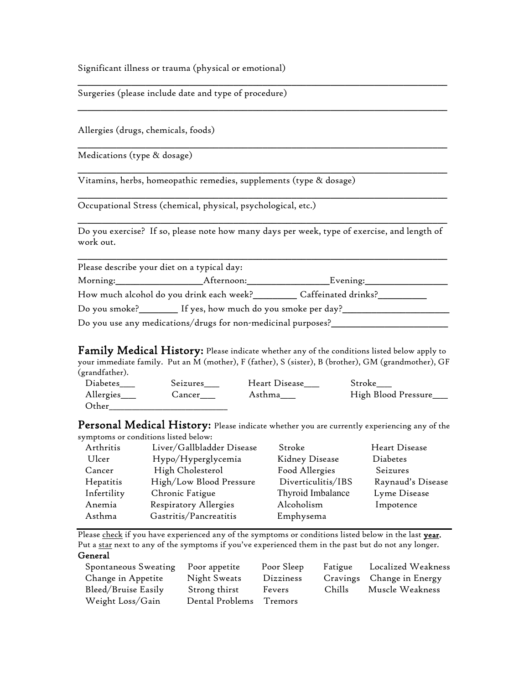Significant illness or trauma (physical or emotional)

Surgeries (please include date and type of procedure)

Allergies (drugs, chemicals, foods)

Medications (type & dosage)

Vitamins, herbs, homeopathic remedies, supplements (type & dosage)

\_\_\_\_\_\_\_\_\_\_\_\_\_\_\_\_\_\_\_\_\_\_\_\_\_\_\_\_\_\_\_\_\_\_\_\_\_\_\_\_\_\_\_\_\_\_\_\_\_\_\_\_\_\_\_\_\_\_\_\_\_\_\_\_\_\_\_\_\_\_\_\_\_\_\_\_ Occupational Stress (chemical, physical, psychological, etc.)

Do you exercise? If so, please note how many days per week, type of exercise, and length of work out.

\_\_\_\_\_\_\_\_\_\_\_\_\_\_\_\_\_\_\_\_\_\_\_\_\_\_\_\_\_\_\_\_\_\_\_\_\_\_\_\_\_\_\_\_\_\_\_\_\_\_\_\_\_\_\_\_\_\_\_\_\_\_\_\_\_\_\_\_\_\_\_\_\_\_\_\_

| Please describe your diet on a typical day:                     |                                                              |                     |  |
|-----------------------------------------------------------------|--------------------------------------------------------------|---------------------|--|
| Morning:                                                        | Afternoon:                                                   | Evening:            |  |
| How much alcohol do you drink each week?                        |                                                              | Caffeinated drinks? |  |
| Do you smoke?__________ If yes, how much do you smoke per day?_ |                                                              |                     |  |
|                                                                 | Do you use any medications/drugs for non-medicinal purposes? |                     |  |

**Family Medical History:** Please indicate whether any of the conditions listed below apply to your immediate family. Put an M (mother), F (father), S (sister), B (brother), GM (grandmother), GF (grandfather).

| Diabetes   | Seizures | Heart Disease | Stroke              |
|------------|----------|---------------|---------------------|
| Allergies_ | Cancer   | Asthma        | High Blood Pressure |
| Other      |          |               |                     |

Personal Medical History: Please indicate whether you are currently experiencing any of the symptoms or conditions listed below:

| Arthritis   | Liver/Gallbladder Disease | Stroke             | Heart Disease     |
|-------------|---------------------------|--------------------|-------------------|
| Ulcer       | Hypo/Hyperglycemia        | Kidney Disease     | Diabetes          |
| Cancer      | High Cholesterol          | Food Allergies     | Seizures          |
| Hepatitis   | High/Low Blood Pressure   | Diverticulitis/IBS | Raynaud's Disease |
| Infertility | Chronic Fatigue           | Thyroid Imbalance  | Lyme Disease      |
| Anemia      | Respiratory Allergies     | Alcoholism         | Impotence         |
| Asthma      | Gastritis/Pancreatitis    | Emphysema          |                   |
|             |                           |                    |                   |

Please check if you have experienced any of the symptoms or conditions listed below in the last year. Put a star next to any of the symptoms if you've experienced them in the past but do not any longer. General

| Spontaneous Sweating | Poor appetite           | Poor Sleep | Fatigue | Localized Weakness        |
|----------------------|-------------------------|------------|---------|---------------------------|
| Change in Appetite   | Night Sweats            | Dizziness  |         | Cravings Change in Energy |
| Bleed/Bruise Easily  | Strong thirst           | Fevers     | Chills  | Muscle Weakness           |
| Weight Loss/Gain     | Dental Problems Tremors |            |         |                           |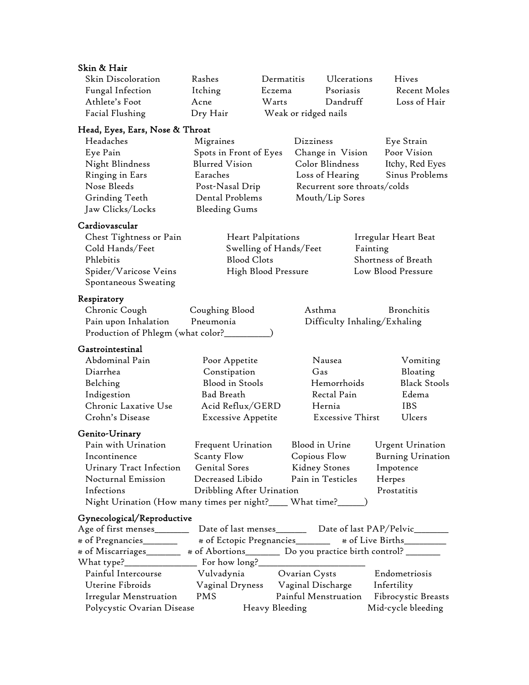| Skin & Hair                                                                                |                           |                           |                              |          |                                                               |
|--------------------------------------------------------------------------------------------|---------------------------|---------------------------|------------------------------|----------|---------------------------------------------------------------|
| Skin Discoloration                                                                         | Rashes                    | Dermatitis                | Ulcerations                  |          | Hives                                                         |
| Fungal Infection                                                                           | Itching                   | Eczema                    | Psoriasis                    |          | Recent Moles                                                  |
| Athlete's Foot                                                                             | Acne                      | Warts                     | Dandruff                     |          | Loss of Hair                                                  |
| Facial Flushing                                                                            | Dry Hair                  |                           | Weak or ridged nails         |          |                                                               |
|                                                                                            |                           |                           |                              |          |                                                               |
| Head, Eyes, Ears, Nose & Throat                                                            |                           |                           |                              |          |                                                               |
| Headaches                                                                                  | Migraines                 |                           | Dizziness                    |          | Eye Strain                                                    |
| Eye Pain                                                                                   | Spots in Front of Eyes    |                           | Change in Vision             |          | Poor Vision                                                   |
| Night Blindness                                                                            | <b>Blurred Vision</b>     |                           | Color Blindness              |          | Itchy, Red Eyes                                               |
| Ringing in Ears                                                                            | Earaches                  |                           | Loss of Hearing              |          | Sinus Problems                                                |
| Nose Bleeds                                                                                | Post-Nasal Drip           |                           | Recurrent sore throats/colds |          |                                                               |
| Grinding Teeth                                                                             | Dental Problems           |                           | Mouth/Lip Sores              |          |                                                               |
| Jaw Clicks/Locks                                                                           | <b>Bleeding Gums</b>      |                           |                              |          |                                                               |
| Cardiovascular                                                                             |                           |                           |                              |          |                                                               |
| Chest Tightness or Pain                                                                    |                           | <b>Heart Palpitations</b> |                              |          | Irregular Heart Beat                                          |
| Cold Hands/Feet                                                                            |                           | Swelling of Hands/Feet    |                              | Fainting |                                                               |
| Phlebitis                                                                                  | <b>Blood Clots</b>        |                           |                              |          | Shortness of Breath                                           |
| Spider/Varicose Veins                                                                      |                           | High Blood Pressure       |                              |          | Low Blood Pressure                                            |
| Spontaneous Sweating                                                                       |                           |                           |                              |          |                                                               |
| Respiratory                                                                                |                           |                           |                              |          |                                                               |
| Chronic Cough                                                                              | Coughing Blood            |                           | Asthma                       |          | Bronchitis                                                    |
|                                                                                            | Pneumonia                 |                           |                              |          |                                                               |
| Pain upon Inhalation                                                                       |                           |                           | Difficulty Inhaling/Exhaling |          |                                                               |
| Production of Phlegm (what color?____                                                      |                           |                           |                              |          |                                                               |
| Gastrointestinal                                                                           |                           |                           |                              |          |                                                               |
| Abdominal Pain                                                                             | Poor Appetite             |                           | Nausea                       |          | Vomiting                                                      |
| Diarrhea                                                                                   | Constipation              |                           | Gas                          |          | Bloating                                                      |
| Belching                                                                                   | <b>Blood</b> in Stools    |                           | Hemorrhoids                  |          | <b>Black Stools</b>                                           |
| Indigestion                                                                                | <b>Bad Breath</b>         |                           | Rectal Pain                  |          | Edema                                                         |
| Chronic Laxative Use                                                                       | Acid Reflux/GERD          |                           | Hernia                       |          | <b>IBS</b>                                                    |
| Crohn's Disease                                                                            | <b>Excessive Appetite</b> |                           | <b>Excessive Thirst</b>      |          | Ulcers                                                        |
| Genito-Urinary                                                                             |                           |                           |                              |          |                                                               |
| Pain with Urination                                                                        | Frequent Urination        |                           | Blood in Urine               |          | <b>Urgent Urination</b>                                       |
| Incontinence                                                                               | Scanty Flow               |                           | Copious Flow                 |          | Burning Urination                                             |
| Urinary Tract Infection                                                                    | Genital Sores             |                           | Kidney Stones                |          | Impotence                                                     |
| Nocturnal Emission                                                                         | Decreased Libido          |                           | Pain in Testicles            |          | Herpes                                                        |
| Infections                                                                                 | Dribbling After Urination |                           |                              |          | Prostatitis                                                   |
| Night Urination (How many times per night?____ What time?_____)                            |                           |                           |                              |          |                                                               |
|                                                                                            |                           |                           |                              |          |                                                               |
| Gynecological/Reproductive<br>Age of first menses______                                    |                           |                           |                              |          | Date of last menses__________ Date of last PAP/Pelvic________ |
| # of Pregnancies_______                                                                    |                           |                           |                              |          | # of Ectopic Pregnancies________ # of Live Births________     |
| # of Miscarriages________ # of Abortions__________ Do you practice birth control? ________ |                           |                           |                              |          |                                                               |
|                                                                                            |                           |                           |                              |          |                                                               |
|                                                                                            |                           |                           |                              |          |                                                               |
| Painful Intercourse Vulvadynia Dvarian Cysts                                               |                           |                           |                              |          | Endometriosis                                                 |
| Uterine Fibroids                                                                           |                           |                           |                              |          | Infertility                                                   |
| Irregular Menstruation PMS                                                                 |                           |                           | Painful Menstruation         |          | Fibrocystic Breasts                                           |
| Polycystic Ovarian Disease                                                                 |                           | Heavy Bleeding            |                              |          | Mid-cycle bleeding                                            |